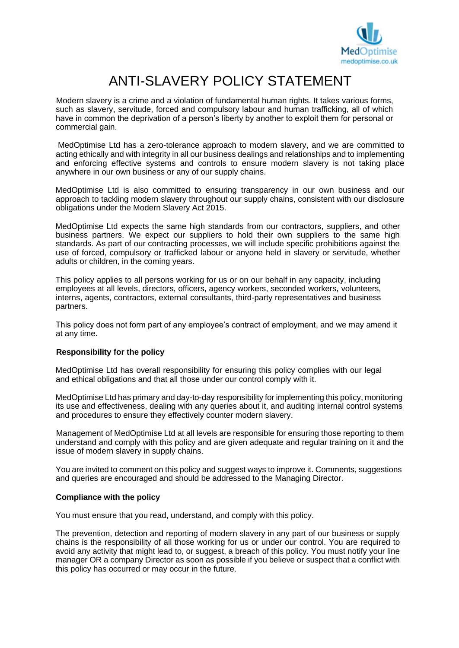

# ANTI-SLAVERY POLICY STATEMENT

Modern slavery is a crime and a violation of fundamental human rights. It takes various forms, such as slavery, servitude, forced and compulsory labour and human trafficking, all of which have in common the deprivation of a person's liberty by another to exploit them for personal or commercial gain.

MedOptimise Ltd has a zero-tolerance approach to modern slavery, and we are committed to acting ethically and with integrity in all our business dealings and relationships and to implementing and enforcing effective systems and controls to ensure modern slavery is not taking place anywhere in our own business or any of our supply chains.

MedOptimise Ltd is also committed to ensuring transparency in our own business and our approach to tackling modern slavery throughout our supply chains, consistent with our disclosure obligations under the Modern Slavery Act 2015.

MedOptimise Ltd expects the same high standards from our contractors, suppliers, and other business partners. We expect our suppliers to hold their own suppliers to the same high standards. As part of our contracting processes, we will include specific prohibitions against the use of forced, compulsory or trafficked labour or anyone held in slavery or servitude, whether adults or children, in the coming years.

This policy applies to all persons working for us or on our behalf in any capacity, including employees at all levels, directors, officers, agency workers, seconded workers, volunteers, interns, agents, contractors, external consultants, third-party representatives and business partners.

This policy does not form part of any employee's contract of employment, and we may amend it at any time.

# **Responsibility for the policy**

MedOptimise Ltd has overall responsibility for ensuring this policy complies with our legal and ethical obligations and that all those under our control comply with it.

MedOptimise Ltd has primary and day-to-day responsibility for implementing this policy, monitoring its use and effectiveness, dealing with any queries about it, and auditing internal control systems and procedures to ensure they effectively counter modern slavery.

Management of MedOptimise Ltd at all levels are responsible for ensuring those reporting to them understand and comply with this policy and are given adequate and regular training on it and the issue of modern slavery in supply chains.

You are invited to comment on this policy and suggest ways to improve it. Comments, suggestions and queries are encouraged and should be addressed to the Managing Director.

### **Compliance with the policy**

You must ensure that you read, understand, and comply with this policy.

The prevention, detection and reporting of modern slavery in any part of our business or supply chains is the responsibility of all those working for us or under our control. You are required to avoid any activity that might lead to, or suggest, a breach of this policy. You must notify your line manager OR a company Director as soon as possible if you believe or suspect that a conflict with this policy has occurred or may occur in the future.